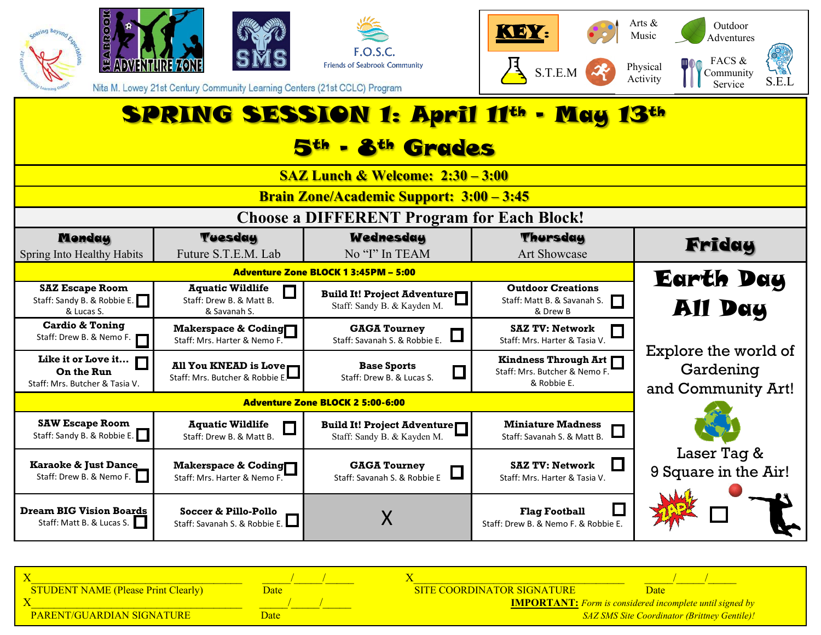

| <b>STUDENT NAME (Please Print Clearly)</b> |      | <b>SITE COORDINATOR SIGNATURE</b>                               |
|--------------------------------------------|------|-----------------------------------------------------------------|
|                                            |      | <b>IMPORTANT:</b> Form is considered incomplete until signed by |
| <b>PARENT/GUARDIAN SIGNATURE</b>           | Jate | <b>SAZ SMS Site Coordinator (Brittney Gentile)!</b>             |